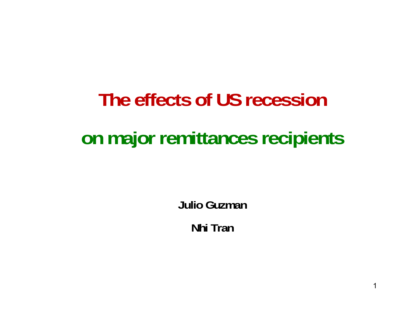# **The effects of US recessionon major remittances recipients**

**Julio Guzman**

**Nhi Tran**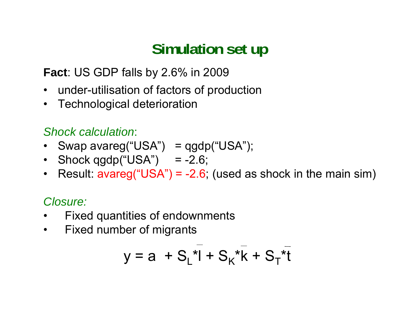# **Simulation set up**

**Fact**: US GDP falls by 2.6% in 2009

- $\bullet$ under-utilisation of factors of production
- $\bullet$ Technological deterioration

#### *Shock calculation*:

- Swap avareg("USA") = qgdp("USA");
- Shock qgdp("USA") = -2.6;
- Result: avareg("USA") = -2.6; (used as shock in the main sim)

#### *Closure:*

- $\bullet$ Fixed quantities of endownments
- $\bullet$ Fixed number of migrants

$$
y = a + S_L^{-1} + S_K^{-1}k + S_T^{-1}k
$$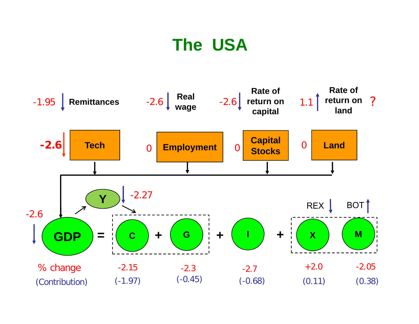# **The USA**

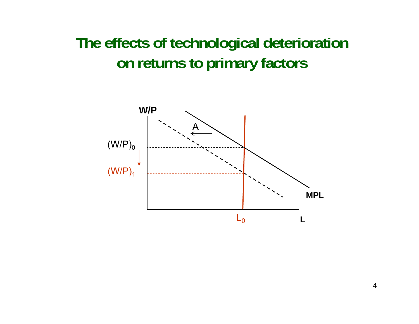### **The effects of technological deterioration on returns to primary factors**

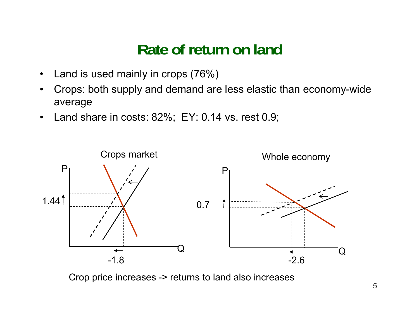### **Rate of return on land**

- $\bullet$ Land is used mainly in crops (76%)
- $\bullet$  Crops: both supply and demand are less elastic than economy-wide average
- $\bullet$ Land share in costs: 82%; EY: 0.14 vs. rest 0.9;



Crop price increases -> returns to land also increases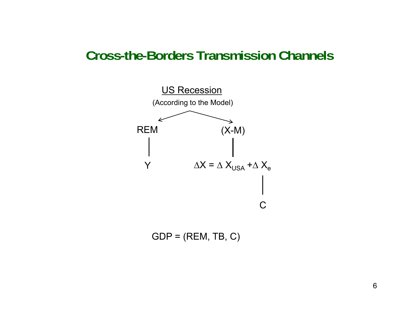#### **Cross-the-Borders Transmission Channels**



 $GDP = (REM, TB, C)$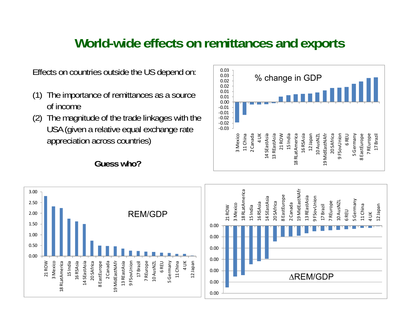### **World-wide effects on remittances and exports**

- (1) The importance of remittances as a source of income
- (2) The magnitude of the trade linkages with the USA (given a relative equal exchange rate appreciation across countries)

**Guess who?**



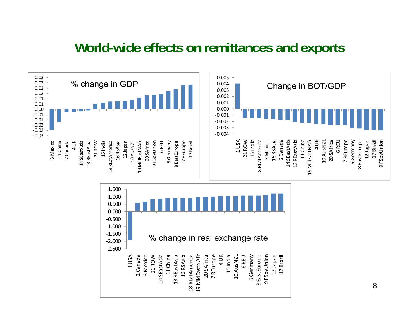### **World-wide effects on remittances and exports**



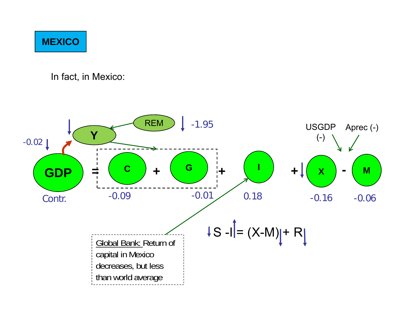#### **MEXICO**

In fact, in Mexico: